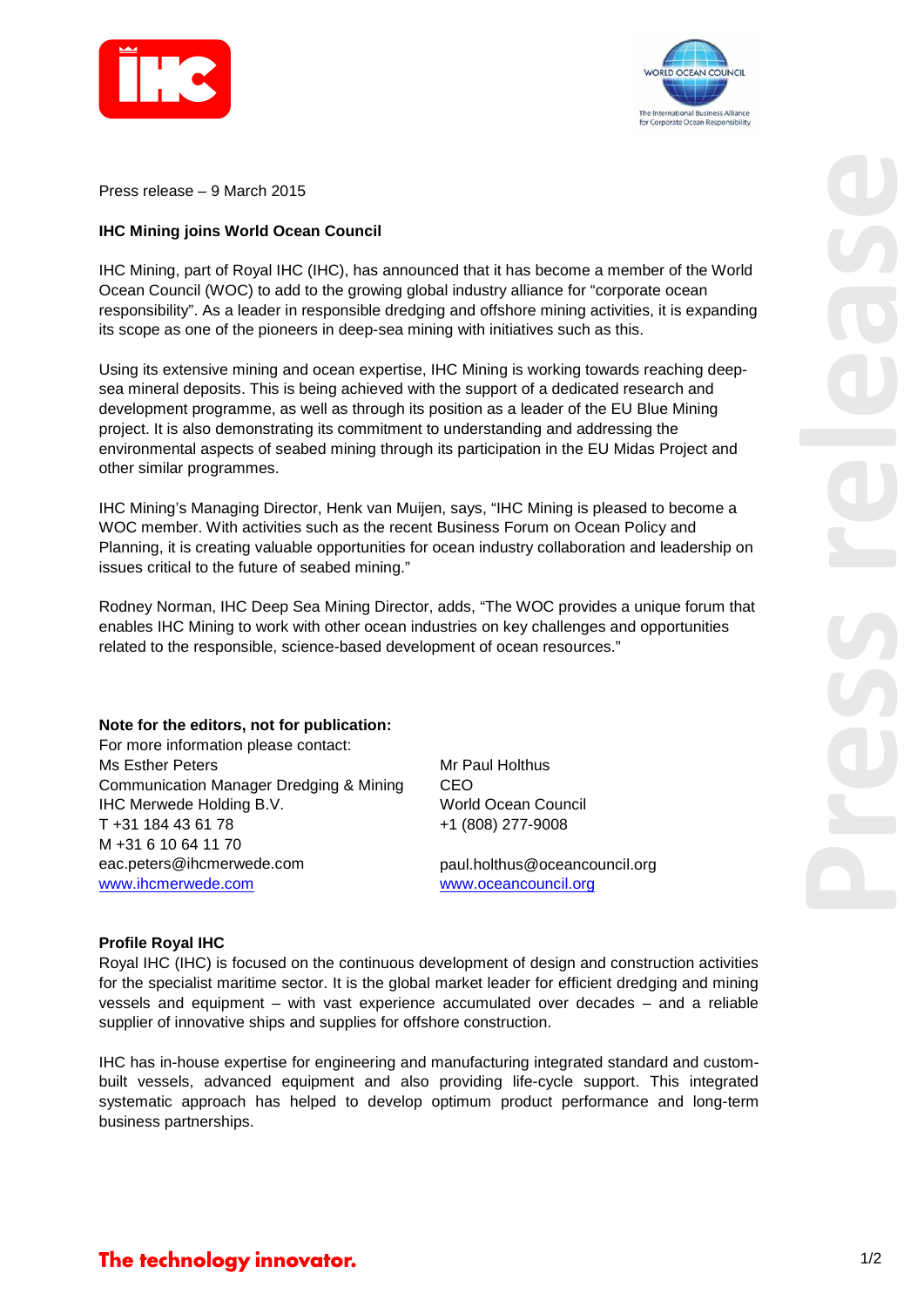



Press release – 9 March 2015

## **IHC Mining joins World Ocean Council**

IHC Mining, part of Royal IHC (IHC), has announced that it has become a member of the World Ocean Council (WOC) to add to the growing global industry alliance for "corporate ocean responsibility". As a leader in responsible dredging and offshore mining activities, it is expanding its scope as one of the pioneers in deep-sea mining with initiatives such as this.

Using its extensive mining and ocean expertise, IHC Mining is working towards reaching deepsea mineral deposits. This is being achieved with the support of a dedicated research and development programme, as well as through its position as a leader of the EU Blue Mining project. It is also demonstrating its commitment to understanding and addressing the environmental aspects of seabed mining through its participation in the EU Midas Project and other similar programmes.

IHC Mining's Managing Director, Henk van Muijen, says, "IHC Mining is pleased to become a WOC member. With activities such as the recent Business Forum on Ocean Policy and Planning, it is creating valuable opportunities for ocean industry collaboration and leadership on issues critical to the future of seabed mining."

Rodney Norman, IHC Deep Sea Mining Director, adds, "The WOC provides a unique forum that enables IHC Mining to work with other ocean industries on key challenges and opportunities related to the responsible, science-based development of ocean resources."

## **Note for the editors, not for publication:**

For more information please contact: Ms Esther Peters Communication Manager Dredging & Mining IHC Merwede Holding B.V. T +31 184 43 61 78 M +31 6 10 64 11 70 eac.peters@ihcmerwede.com www.ihcmerwede.com

Mr Paul Holthus CEO World Ocean Council +1 (808) 277-9008

paul.holthus@oceancouncil.org www.oceancouncil.org

## **Profile Royal IHC**

Royal IHC (IHC) is focused on the continuous development of design and construction activities for the specialist maritime sector. It is the global market leader for efficient dredging and mining vessels and equipment – with vast experience accumulated over decades – and a reliable supplier of innovative ships and supplies for offshore construction.

IHC has in-house expertise for engineering and manufacturing integrated standard and custombuilt vessels, advanced equipment and also providing life-cycle support. This integrated systematic approach has helped to develop optimum product performance and long-term business partnerships.